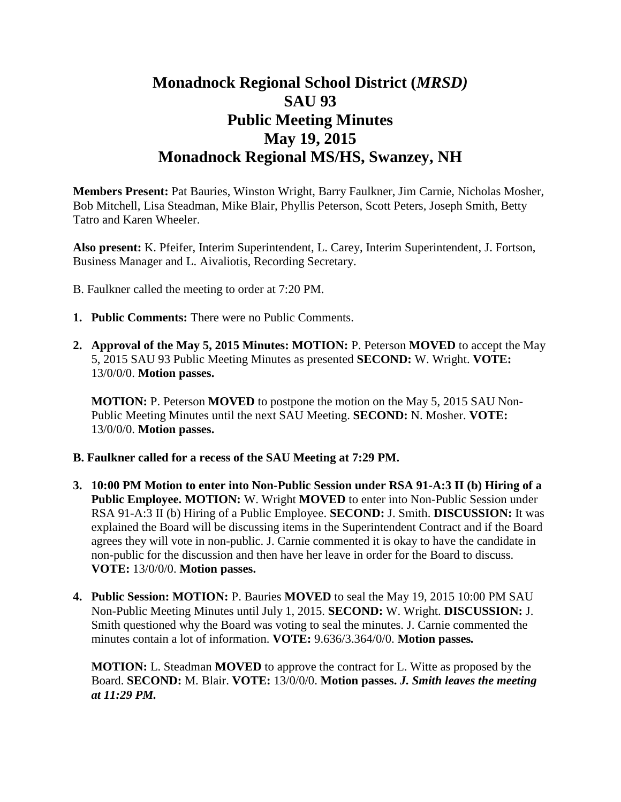## **Monadnock Regional School District (***MRSD)* **SAU 93 Public Meeting Minutes May 19, 2015 Monadnock Regional MS/HS, Swanzey, NH**

**Members Present:** Pat Bauries, Winston Wright, Barry Faulkner, Jim Carnie, Nicholas Mosher, Bob Mitchell, Lisa Steadman, Mike Blair, Phyllis Peterson, Scott Peters, Joseph Smith, Betty Tatro and Karen Wheeler.

**Also present:** K. Pfeifer, Interim Superintendent, L. Carey, Interim Superintendent, J. Fortson, Business Manager and L. Aivaliotis, Recording Secretary.

- B. Faulkner called the meeting to order at 7:20 PM.
- **1. Public Comments:** There were no Public Comments.
- **2. Approval of the May 5, 2015 Minutes: MOTION:** P. Peterson **MOVED** to accept the May 5, 2015 SAU 93 Public Meeting Minutes as presented **SECOND:** W. Wright. **VOTE:**  13/0/0/0. **Motion passes.**

**MOTION:** P. Peterson **MOVED** to postpone the motion on the May 5, 2015 SAU Non-Public Meeting Minutes until the next SAU Meeting. **SECOND:** N. Mosher. **VOTE:** 13/0/0/0. **Motion passes.** 

## **B. Faulkner called for a recess of the SAU Meeting at 7:29 PM.**

- **3. 10:00 PM Motion to enter into Non-Public Session under RSA 91-A:3 II (b) Hiring of a Public Employee. MOTION:** W. Wright **MOVED** to enter into Non-Public Session under RSA 91-A:3 II (b) Hiring of a Public Employee. **SECOND:** J. Smith. **DISCUSSION:** It was explained the Board will be discussing items in the Superintendent Contract and if the Board agrees they will vote in non-public. J. Carnie commented it is okay to have the candidate in non-public for the discussion and then have her leave in order for the Board to discuss. **VOTE:** 13/0/0/0. **Motion passes.**
- **4. Public Session: MOTION:** P. Bauries **MOVED** to seal the May 19, 2015 10:00 PM SAU Non-Public Meeting Minutes until July 1, 2015. **SECOND:** W. Wright. **DISCUSSION:** J. Smith questioned why the Board was voting to seal the minutes. J. Carnie commented the minutes contain a lot of information. **VOTE:** 9.636/3.364/0/0. **Motion passes***.*

**MOTION:** L. Steadman **MOVED** to approve the contract for L. Witte as proposed by the Board. **SECOND:** M. Blair. **VOTE:** 13/0/0/0. **Motion passes.** *J. Smith leaves the meeting at 11:29 PM.*